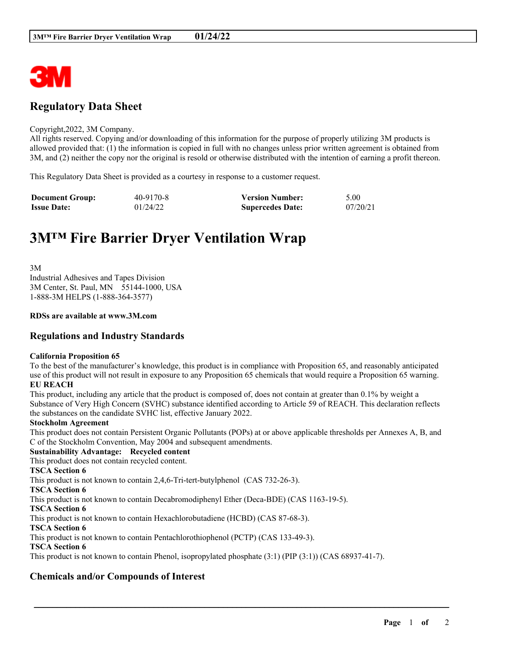

# **Regulatory Data Sheet**

#### Copyright,2022, 3M Company.

All rights reserved. Copying and/or downloading of this information for the purpose of properly utilizing 3M products is allowed provided that: (1) the information is copied in full with no changes unless prior written agreement is obtained from 3M, and (2) neither the copy nor the original is resold or otherwise distributed with the intention of earning a profit thereon.

This Regulatory Data Sheet is provided as a courtesy in response to a customer request.

| <b>Document Group:</b> | 40-9170-8 | <b>Version Number:</b>  | 5.00     |
|------------------------|-----------|-------------------------|----------|
| <b>Issue Date:</b>     | 01/24/22  | <b>Supercedes Date:</b> | 07/20/21 |

# **3M™ Fire Barrier Dryer Ventilation Wrap**

3M Industrial Adhesives and Tapes Division 3M Center, St. Paul, MN 55144-1000, USA 1-888-3M HELPS (1-888-364-3577)

#### **RDSs are available at www.3M.com**

### **Regulations and Industry Standards**

#### **California Proposition 65**

To the best of the manufacturer's knowledge, this product is in compliance with Proposition 65, and reasonably anticipated use of this product will not result in exposure to any Proposition 65 chemicals that would require a Proposition 65 warning. **EU REACH**

This product, including any article that the product is composed of, does not contain at greater than 0.1% by weight a Substance of Very High Concern (SVHC) substance identified according to Article 59 of REACH. This declaration reflects the substances on the candidate SVHC list, effective January 2022.

#### **Stockholm Agreement**

This product does not contain Persistent Organic Pollutants (POPs) at or above applicable thresholds per Annexes A, B, and C of the Stockholm Convention, May 2004 and subsequent amendments.

\_\_\_\_\_\_\_\_\_\_\_\_\_\_\_\_\_\_\_\_\_\_\_\_\_\_\_\_\_\_\_\_\_\_\_\_\_\_\_\_\_\_\_\_\_\_\_\_\_\_\_\_\_\_\_\_\_\_\_\_\_\_\_\_\_\_\_\_\_\_\_\_\_\_\_\_\_\_\_\_\_\_\_\_\_\_\_\_\_\_

# **Sustainability Advantage: Recycled content**

This product does not contain recycled content.

**TSCA Section 6**

This product is not known to contain 2,4,6-Tri-tert-butylphenol (CAS 732-26-3).

**TSCA Section 6**

This product is not known to contain Decabromodiphenyl Ether (Deca-BDE) (CAS 1163-19-5).

**TSCA Section 6**

This product is not known to contain Hexachlorobutadiene (HCBD) (CAS 87-68-3).

**TSCA Section 6**

This product is not known to contain Pentachlorothiophenol (PCTP) (CAS 133-49-3).

# **TSCA Section 6**

This product is not known to contain Phenol, isopropylated phosphate (3:1) (PIP (3:1)) (CAS 68937-41-7).

# **Chemicals and/or Compounds of Interest**